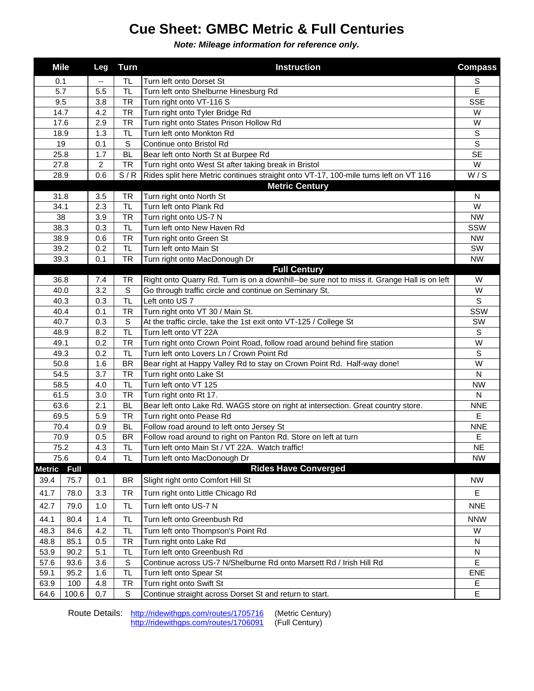## **Cue Sheet: GMBC Metric & Full Centuries**

*Note: Mileage information for reference only.*

|                       | <b>Mile</b>  | Leg        | <b>Turn</b>            | <b>Instruction</b>                                                                                                 | <b>Compass</b>  |
|-----------------------|--------------|------------|------------------------|--------------------------------------------------------------------------------------------------------------------|-----------------|
| 0.1                   |              | --         | TL                     | Turn left onto Dorset St                                                                                           | S               |
| 5.7                   |              | 5.5        | TL                     | Turn left onto Shelburne Hinesburg Rd                                                                              | E               |
| 9.5                   |              | 3.8        | <b>TR</b>              | Turn right onto VT-116 S                                                                                           | <b>SSE</b>      |
| 14.7                  |              | 4.2        | <b>TR</b>              | Turn right onto Tyler Bridge Rd                                                                                    | W               |
| 17.6                  |              | 2.9        | <b>TR</b>              | Turn right onto States Prison Hollow Rd                                                                            | W               |
| 18.9                  |              | 1.3        | TL.                    | Turn left onto Monkton Rd                                                                                          | $\mathsf S$     |
| 19                    |              | 0.1        | S                      | Continue onto Bristol Rd                                                                                           | $\overline{s}$  |
| 25.8                  |              | 1.7        | <b>BL</b>              | Bear left onto North St at Burpee Rd                                                                               | <b>SE</b>       |
|                       | 27.8         | 2          | <b>TR</b>              | Turn right onto West St after taking break in Bristol                                                              | W               |
|                       | 28.9         | 0.6        | S/R                    | Rides split here Metric continues straight onto VT-17, 100-mile turns left on VT 116                               | W/S             |
| <b>Metric Century</b> |              |            |                        |                                                                                                                    |                 |
| 31.8                  |              | 3.5        | TR                     | Turn right onto North St                                                                                           | N               |
| 34.1                  |              | 2.3        | TL.                    | Turn left onto Plank Rd                                                                                            | W               |
| 38                    |              | 3.9        | <b>TR</b>              | Turn right onto US-7 N                                                                                             | <b>NW</b>       |
|                       | 38.3         | 0.3        | TL.                    | Turn left onto New Haven Rd                                                                                        | SSW             |
|                       | 38.9         | 0.6        | <b>TR</b>              | Turn right onto Green St                                                                                           | <b>NW</b>       |
|                       | 39.2         | 0.2        | <b>TL</b>              | Turn left onto Main St                                                                                             | SW              |
|                       | 39.3         | 0.1        | <b>TR</b>              | Turn right onto MacDonough Dr                                                                                      | <b>NW</b>       |
|                       |              |            |                        | <b>Full Century</b>                                                                                                |                 |
|                       | 36.8         | 7.4        | TR                     | Right onto Quarry Rd. Turn is on a downhill--be sure not to miss it. Grange Hall is on left                        | W               |
| 40.0                  |              | 3.2        | S                      | Go through traffic circle and continue on Seminary St.                                                             | W               |
| 40.3                  |              | 0.3        | <b>TL</b>              | Left onto US 7                                                                                                     | S               |
| 40.4                  |              | 0.1        | <b>TR</b>              | Turn right onto VT 30 / Main St.                                                                                   | SSW             |
| 40.7                  |              | 0.3        | S                      | At the traffic circle, take the 1st exit onto VT-125 / College St                                                  | SW              |
| 48.9                  |              | 8.2        | <b>TL</b>              | Turn left onto VT 22A                                                                                              | S               |
| 49.1                  |              | 0.2        | <b>TR</b>              | Turn right onto Crown Point Road, follow road around behind fire station                                           | W               |
| 49.3                  |              | 0.2        | <b>TL</b>              | Turn left onto Lovers Ln / Crown Point Rd                                                                          | $\mathbb S$     |
| 50.8                  |              | 1.6        | <b>BR</b>              | Bear right at Happy Valley Rd to stay on Crown Point Rd. Half-way done!                                            | W               |
| 54.5                  |              | 3.7        | <b>TR</b>              | Turn right onto Lake St                                                                                            | $\mathsf{N}$    |
| 58.5                  |              | 4.0        | <b>TL</b>              | Turn left onto VT 125                                                                                              | <b>NW</b>       |
| 61.5                  |              | 3.0        | <b>TR</b>              | Turn right onto Rt 17.                                                                                             | N               |
| 63.6                  |              | 2.1        | <b>BL</b>              | Bear left onto Lake Rd. WAGS store on right at intersection. Great country store.                                  | <b>NNE</b>      |
| 69.5<br>70.4          |              | 5.9        | <b>TR</b>              | Turn right onto Pease Rd                                                                                           | E               |
| 70.9                  |              | 0.9        | <b>BL</b>              | Follow road around to left onto Jersey St                                                                          | <b>NNE</b>      |
| 75.2                  |              | 0.5<br>4.3 | <b>BR</b><br><b>TL</b> | Follow road around to right on Panton Rd. Store on left at turn<br>Turn left onto Main St / VT 22A. Watch traffic! | Е<br><b>NE</b>  |
| 75.6                  |              | 0.4        | <b>TL</b>              | Turn left onto MacDonough Dr                                                                                       | <b>NW</b>       |
| <b>Metric</b>         | <b>Full</b>  |            |                        | <b>Rides Have Converged</b>                                                                                        |                 |
| 39.4                  | 75.7         | 0.1        | <b>BR</b>              |                                                                                                                    | <b>NW</b>       |
| 41.7                  |              | 3.3        | <b>TR</b>              | Slight right onto Comfort Hill St                                                                                  | Е               |
| 42.7                  | 78.0<br>79.0 | 1.0        | <b>TL</b>              | Turn right onto Little Chicago Rd<br>Turn left onto US-7 N                                                         | <b>NNE</b>      |
|                       |              |            |                        |                                                                                                                    |                 |
| 44.1<br>48.3          | 80.4<br>84.6 | 1.4<br>4.2 | <b>TL</b><br><b>TL</b> | Turn left onto Greenbush Rd<br>Turn left onto Thompson's Point Rd                                                  | <b>NNW</b><br>W |
| 48.8                  | 85.1         | 0.5        | <b>TR</b>              | Turn right onto Lake Rd                                                                                            | N               |
| 53.9                  |              |            | TL.                    | Turn left onto Greenbush Rd                                                                                        | N               |
| 57.6                  | 90.2         | 5.1        | S                      | Continue across US-7 N/Shelburne Rd onto Marsett Rd / Irish Hill Rd                                                | E               |
| 59.1                  | 93.6<br>95.2 | 3.6        | <b>TL</b>              |                                                                                                                    | ENE             |
| 63.9                  | 100          | 1.6<br>4.8 | TR                     | Turn left onto Spear St<br>Turn right onto Swift St                                                                | Е               |
|                       | 100.6        | 0.7        | S                      |                                                                                                                    | E               |
| 64.6                  |              |            |                        | Continue straight across Dorset St and return to start.                                                            |                 |

Route Details: <http://ridewithgps.com/routes/1705716> (Metric Century)<br>http://ridewithgps.com/routes/1706091 (Full Century) <http://ridewithgps.com/routes/1706091>